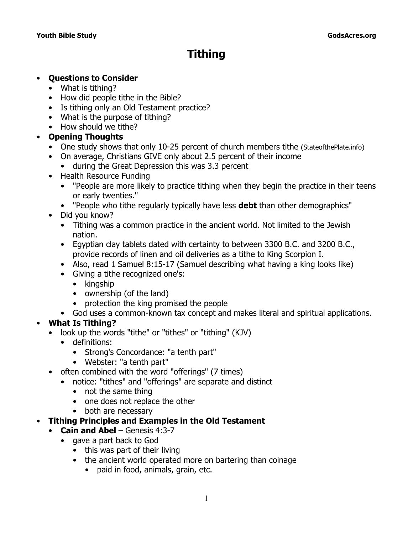# **Tithing**

#### • **Questions to Consider**

- What is tithing?
- How did people tithe in the Bible?
- Is tithing only an Old Testament practice?
- What is the purpose of tithing?
- How should we tithe?

# • **Opening Thoughts**

- One study shows that only 10-25 percent of church members tithe (StateofthePlate.info)
- On average, Christians GIVE only about 2.5 percent of their income
	- during the Great Depression this was 3.3 percent
- Health Resource Funding
	- "People are more likely to practice tithing when they begin the practice in their teens or early twenties."
	- "People who tithe regularly typically have less **debt** than other demographics"
- Did you know?
	- Tithing was a common practice in the ancient world. Not limited to the Jewish nation.
	- Egyptian clay tablets dated with certainty to between 3300 B.C. and 3200 B.C., provide records of linen and oil deliveries as a tithe to King Scorpion I.
	- Also, read 1 Samuel 8:15-17 (Samuel describing what having a king looks like)
	- Giving a tithe recognized one's:
		- kingship
		- ownership (of the land)
		- protection the king promised the people
	- God uses a common-known tax concept and makes literal and spiritual applications.

# • **What Is Tithing?**

- look up the words "tithe" or "tithes" or "tithing" (KJV)
	- definitions:
		- *Strong's Concordance:* "a tenth part"
		- *Webster*: "a tenth part"
- often combined with the word "offerings" (7 times)
	- notice: "tithes" and "offerings" are separate and distinct
		- not the same thing
		- one does not replace the other
		- both are necessary

# • **Tithing Principles and Examples in the Old Testament**

- **Cain and Abel** Genesis 4:3-7
	- gave a part back to God
		- this was part of their living
		- the ancient world operated more on bartering than coinage
			- paid in food, animals, grain, etc.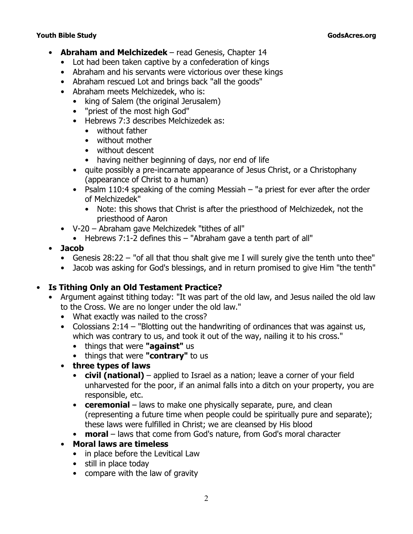#### **Youth Bible Study GodsAcres.org**

- **Abraham and Melchizedek**  read Genesis, Chapter 14
	- Lot had been taken captive by a confederation of kings
	- Abraham and his servants were victorious over these kings
	- Abraham rescued Lot and brings back "all the goods"
	- Abraham meets Melchizedek, who is:
		- king of Salem (the original Jerusalem)
		- "priest of the most high God"
		- Hebrews 7:3 describes Melchizedek as:
			- without father
			- without mother
			- without descent
			- having neither beginning of days, nor end of life
		- quite possibly a pre-incarnate appearance of Jesus Christ, or a Christophany (appearance of Christ to a human)
		- Psalm 110:4 speaking of the coming Messiah – *"a priest for ever after the order of Melchizedek"*
			- Note: this shows that Christ is after the priesthood of Melchizedek, not the priesthood of Aaron
	- V-20 Abraham gave Melchizedek "tithes of all"
		- Hebrews 7:1-2 defines this "Abraham gave a tenth part of all"

# • **Jacob**

- Genesis 28:22 *"of all that thou shalt give me I will surely give the tenth unto thee"*
- Jacob was asking for God's blessings, and in return promised to give Him "the tenth"

# • **Is Tithing Only an Old Testament Practice?**

- Argument against tithing today: "It was part of the old law, and Jesus nailed the old law to the Cross. We are no longer under the old law."
	- What exactly was nailed to the cross?
	- Colossians 2:14 *"Blotting out the handwriting of ordinances that was against us, which was contrary to us, and took it out of the way, nailing it to his cross."*
		- things that were **"against"** us
		- things that were **"contrary"** to us
	- **three types of laws**
		- **civil (national)** applied to Israel as a nation; leave a corner of your field unharvested for the poor, if an animal falls into a ditch on your property, you are responsible, etc.
		- **ceremonial**  laws to make one physically separate, pure, and clean (representing a future time when people could be spiritually pure and separate); these laws were fulfilled in Christ; we are cleansed by His blood
		- **moral** laws that come from God's nature, from God's moral character
	- **Moral laws are timeless**
		- in place before the Levitical Law
		- still in place today
		- compare with the law of gravity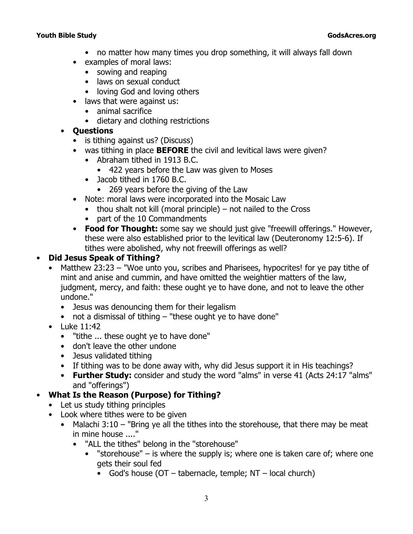#### **Youth Bible Study GodsAcres.org**

- no matter how many times you drop something, it will always fall down
- examples of moral laws:
	- sowing and reaping
	- laws on sexual conduct
	- loving God and loving others
- laws that were against us:
	- animal sacrifice
	- dietary and clothing restrictions
- **Questions**
	- is tithing against us? (Discuss)
	- was tithing in place **BEFORE** the civil and levitical laws were given?
		- Abraham tithed in 1913 B.C.
			- 422 years before the Law was given to Moses
		- Jacob tithed in 1760 B.C.
			- 269 years before the giving of the Law
	- Note: moral laws were incorporated into the Mosaic Law
		- $\bullet$  thou shalt not kill (moral principle) not nailed to the Cross
			- part of the 10 Commandments
	- **Food for Thought:** some say we should just give "freewill offerings." However, these were also established prior to the levitical law (Deuteronomy 12:5-6). If tithes were abolished, why not freewill offerings as well?

#### • **Did Jesus Speak of Tithing?**

- Matthew 23:23 *"Woe unto you, scribes and Pharisees, hypocrites! for ye pay tithe of mint and anise and cummin, and have omitted the weightier matters of the law, judgment, mercy, and faith: these ought ye to have done, and not to leave the other undone."*
	- Jesus was denouncing them for their legalism
	- not a dismissal of tithing *"these ought ye to have done"*
- Luke 11:42
	- *"tithe ... these ought ye to have done"*
	- don't leave the other undone
	- Jesus validated tithing
	- If tithing was to be done away with, why did Jesus support it in His teachings?
	- **Further Study:** consider and study the word "alms" in verse 41 (Acts 24:17 "alms" and "offerings")
- **What Is the Reason (Purpose) for Tithing?**
	- Let us study tithing principles
	- Look where tithes were to be given
		- Malachi 3:10 *"Bring ye all the tithes into the storehouse, that there may be meat in mine house ...."*
			- *"ALL the tithes"* belong in the *"storehouse"*
				- "storehouse" is where the supply is; where one is taken care of; where one gets their soul fed
					- God's house (OT tabernacle, temple;  $NT local church$ )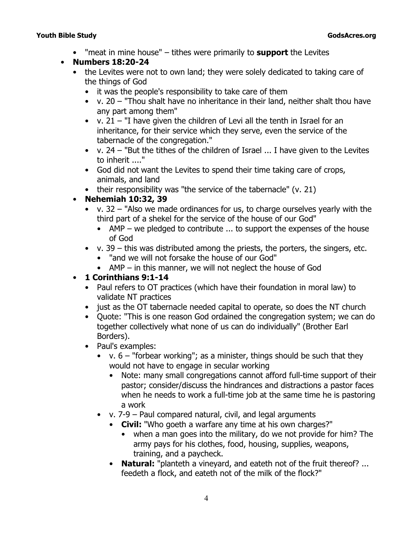• *"meat in mine house"* – tithes were primarily to **support** the Levites

#### • **Numbers 18:20-24**

- the Levites were not to own land; they were solely dedicated to taking care of the things of God
	- it was the people's responsibility to take care of them
	- v. 20 *"Thou shalt have no inheritance in their land, neither shalt thou have any part among them"*
	- v. 21 *"I have given the children of Levi all the tenth in Israel for an inheritance, for their service which they serve, even the service of the tabernacle of the congregation."*
	- v. 24 *"But the tithes of the children of Israel ... I have given to the Levites to inherit ...."*
	- God did not want the Levites to spend their time taking care of crops, animals, and land
	- their responsibility was *"the service of the tabernacle"* (v. 21)

#### • **Nehemiah 10:32, 39**

- v. 32 *"Also we made ordinances for us, to charge ourselves yearly with the third part of a shekel for the service of the house of our God"*
	- AMP we pledged to contribute  $\ldots$  to support the expenses of the house of God
- $v. 39 this was distributed among the priest, the porters, the singer, etc.$ 
	- *"and we will not forsake the house of our God"*
	- AMP in this manner, we will not neglect the house of God

#### • **1 Corinthians 9:1-14**

- Paul refers to OT practices (which have their foundation in moral law) to validate NT practices
- just as the OT tabernacle needed capital to operate, so does the NT church
- Quote: "This is one reason God ordained the congregation system; we can do together collectively what none of us can do individually" (Brother Earl Borders).
- Paul's examples:
	- $v. 6 -$  "forbear working"; as a minister, things should be such that they would not have to engage in secular working
		- Note: many small congregations cannot afford full-time support of their pastor; consider/discuss the hindrances and distractions a pastor faces when he needs to work a full-time job at the same time he is pastoring a work
	- v. 7-9 Paul compared natural, civil, and legal arguments
		- **Civil:** *"Who goeth a warfare any time at his own charges?"*
			- when a man goes into the military, do we not provide for him? The army pays for his clothes, food, housing, supplies, weapons, training, and a paycheck.
		- **Natural:** *"planteth a vineyard, and eateth not of the fruit thereof? ... feedeth a flock, and eateth not of the milk of the flock?"*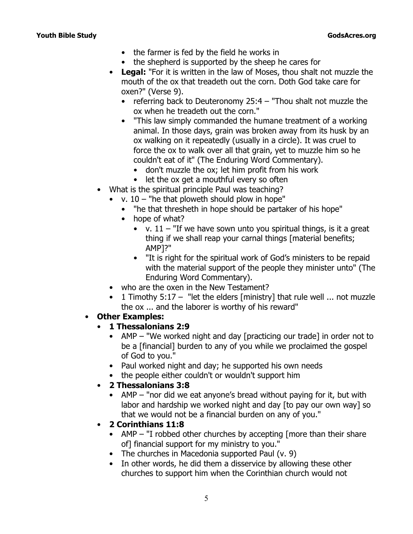#### **Youth Bible Study GodsAcres.org**

- the farmer is fed by the field he works in
- the shepherd is supported by the sheep he cares for
- **Legal:** *"For it is written in the law of Moses, thou shalt not muzzle the mouth of the ox that treadeth out the corn. Doth God take care for oxen?"* (Verse 9).
	- referring back to Deuteronomy 25:4 *"Thou shalt not muzzle the ox when he treadeth out the corn."*
	- "This law simply commanded the humane treatment of a working animal. In those days, grain was broken away from its husk by an ox walking on it repeatedly (usually in a circle). It was cruel to force the ox to walk over all that grain, yet to muzzle him so he couldn't eat of it" (*The Enduring Word Commentary*).
		- don't muzzle the ox; let him profit from his work
		- let the ox get a mouthful every so often
- What is the spiritual principle Paul was teaching?
	- v. 10  *"he that ploweth should plow in hope"*
		- *"he that thresheth in hope should be partaker of his hope"*
		- hope of what?
			- v. 11 *"If we have sown unto you spiritual things, is it a great thing if we shall reap your carnal things [material benefits; AMP]?"*
			- "It is right for the spiritual work of God's ministers to be repaid with the material support of the people they minister unto" (*The Enduring Word Commentary*).
	- who are the oxen in the New Testament?
	- 1 Timothy 5:17 *"let the elders [ministry] that rule well ... not muzzle the ox ... and the laborer is worthy of his reward"*
- **Other Examples:**
	- **1 Thessalonians 2:9**
		- AMP *"We worked night and day [practicing our trade] in order not to be a [financial] burden to any of you while we proclaimed the gospel of God to you."*
		- Paul worked night and day; he supported his own needs
		- the people either couldn't or wouldn't support him
	- **2 Thessalonians 3:8**
		- AMP *"nor did we eat anyone's bread without paying for it, but with labor and hardship we worked night and day [to pay our own way] so that we would not be a financial burden on any of you."*
	- **2 Corinthians 11:8**
		- AMP *"I robbed other churches by accepting [more than their share of] financial support for my ministry to you."*
		- The churches in Macedonia supported Paul (v. 9)
		- In other words, he did them a disservice by allowing these other churches to support him when the Corinthian church would not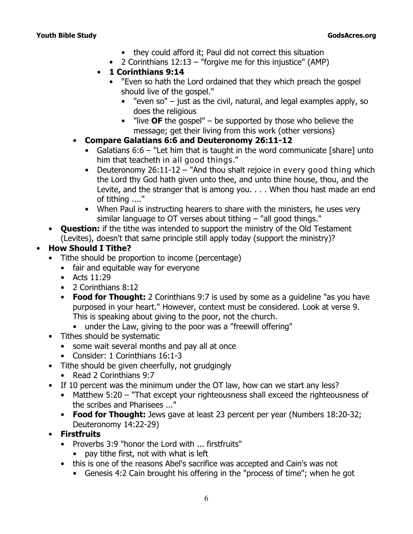- they could afford it; Paul did not correct this situation
- 2 Corinthians 12:13 *"forgive me for this injustice" (AMP)*
- **1 Corinthians 9:14** 
	- *"Even so hath the Lord ordained that they which preach the gospel should live of the gospel."*
		- "even so"  $-$  just as the civil, natural, and legal examples apply, so does the religious
		- "live **OF** the gospel" be supported by those who believe the message; get their living from this work (other versions)
- **Compare Galatians 6:6 and Deuteronomy 26:11-12**
	- Galatians 6:6 *"Let him that is taught in the word communicate [share] unto him that teacheth in all good things."*
	- Deuteronomy 26:11-12 *"And thou shalt rejoice in every good thing which the Lord thy God hath given unto thee, and unto thine house, thou, and the Levite, and the stranger that is among you. . . . When thou hast made an end of tithing ...."*
	- When Paul is instructing hearers to share with the ministers, he uses very similar language to OT verses about tithing – "all good things."
- **Question:** if the tithe was intended to support the ministry of the Old Testament (Levites), doesn't that same principle still apply today (support the ministry)?

# • **How Should I Tithe?**

- Tithe should be proportion to income (percentage)
	- fair and equitable way for everyone
	- Acts 11:29
	- 2 Corinthians 8:12
	- **Food for Thought:** 2 Corinthians 9:7 is used by some as a guideline "as you have purposed in your heart." However, context must be considered. Look at verse 9. This is speaking about giving to the poor, not the church.
		- under the Law, giving to the poor was a "freewill offering"
- Tithes should be systematic
	- some wait several months and pay all at once
	- Consider: 1 Corinthians 16:1-3
- Tithe should be given cheerfully, not grudgingly
	- Read 2 Corinthians 9:7
- If 10 percent was the minimum under the OT law, how can we start any less?
	- Matthew 5:20 *"That except your righteousness shall exceed the righteousness of the scribes and Pharisees ..."*
	- **Food for Thought:** Jews gave at least 23 percent per year (Numbers 18:20-32; Deuteronomy 14:22-29)
- **Firstfruits**
	- Proverbs 3:9 *"honor the Lord with ... firstfruits"*
		- pay tithe first, not with what is left
	- this is one of the reasons Abel's sacrifice was accepted and Cain's was not
		- Genesis 4:2 Cain brought his offering in the "process of time"; when he got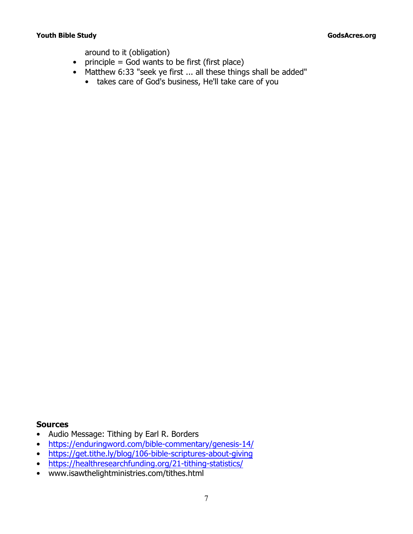#### **The Study of the Study of the Study of the Study of the Study of the Study of the Study of the Study of the Study of the Study of the Study of the Study of the Study of the Study of the Study of the Study of the Study of**

around to it (obligation)

- principle =  $God$  wants to be first (first place)
- Matthew 6:33 *"seek ye first ... all these things shall be added"*
	- takes care of God's business, He'll take care of you

#### **Sources**

- Audio Message: *Tithing* by Earl R. Borders
- https://enduringword.com/bible-commentary/genesis-14/
- https://get.tithe.ly/blog/106-bible-scriptures-about-giving
- https://healthresearchfunding.org/21-tithing-statistics/
- www.isawthelightministries.com/tithes.html